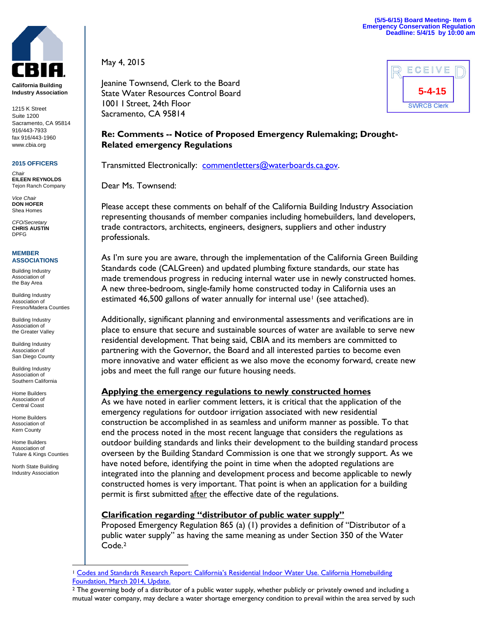

**California Building Industry Association**

1215 K Street Suite 1200 Sacramento, CA 95814 916/443-7933 fax 916/443-1960 www.cbia.org

#### **2015 OFFICERS**

*Chair* **EILEEN REYNOLDS** Tejon Ranch Company

*Vice Chair* **DON HOFER** Shea Homes

*CFO/Secretary* **CHRIS AUSTIN** DPFG

#### **MEMBER ASSOCIATIONS**

Building Industry Association of the Bay Area

Building Industry Association of Fresno/Madera Counties

Building Industry Association of the Greater Valley

Building Industry Association of San Diego County

Building Industry Association of Southern California

Home Builders Association of Central Coast

Home Builders Association of Kern County

Home Builders Association of Tulare & Kings Counties

North State Building Industry Association May 4, 2015

Jeanine Townsend, Clerk to the Board State Water Resources Control Board 1001 I Street, 24th Floor Sacramento, CA 95814



# **Re: Comments -- Notice of Proposed Emergency Rulemaking; Drought-Related emergency Regulations**

Transmitted Electronically: [commentletters@waterboards.ca.gov.](mailto:commentletters@waterboards.ca.gov)

Dear Ms. Townsend:

Please accept these comments on behalf of the California Building Industry Association representing thousands of member companies including homebuilders, land developers, trade contractors, architects, engineers, designers, suppliers and other industry professionals.

As I'm sure you are aware, through the implementation of the California Green Building Standards code (CALGreen) and updated plumbing fixture standards, our state has made tremendous progress in reducing internal water use in newly constructed homes. A new three-bedroom, single-family home constructed today in California uses an estimated 46,500 gallons of water annually for internal use<sup>[1](#page-0-0)</sup> (see attached).

Additionally, significant planning and environmental assessments and verifications are in place to ensure that secure and sustainable sources of water are available to serve new residential development. That being said, CBIA and its members are committed to partnering with the Governor, the Board and all interested parties to become even more innovative and water efficient as we also move the economy forward, create new jobs and meet the full range our future housing needs.

## **Applying the emergency regulations to newly constructed homes**

As we have noted in earlier comment letters, it is critical that the application of the emergency regulations for outdoor irrigation associated with new residential construction be accomplished in as seamless and uniform manner as possible. To that end the process noted in the most recent language that considers the regulations as outdoor building standards and links their development to the building standard process overseen by the Building Standard Commission is one that we strongly support. As we have noted before, identifying the point in time when the adopted regulations are integrated into the planning and development process and become applicable to newly constructed homes is very important. That point is when an application for a building permit is first submitted after the effective date of the regulations.

## **Clarification regarding "distributor of public water supply"**

Proposed Emergency Regulation 865 (a) (1) provides a definition of "Distributor of a public water supply" as having the same meaning as under Section 350 of the Water Code.[2](#page-0-1)

<span id="page-0-0"></span><sup>1</sup> [Codes and Standards Research Report: California's Residential Indoor Water Use. California Homebuilding](http://www.mychf.org/go/linkservid/19A16F2E-C561-47B7-9EC0618A43897B42/showMeta/0/)  [Foundation, March 2014, Update.](http://www.mychf.org/go/linkservid/19A16F2E-C561-47B7-9EC0618A43897B42/showMeta/0/)  $\overline{a}$ 

<span id="page-0-1"></span><sup>&</sup>lt;sup>2</sup> The governing body of a distributor of a public water supply, whether publicly or privately owned and including a mutual water company, may declare a water shortage emergency condition to prevail within the area served by such